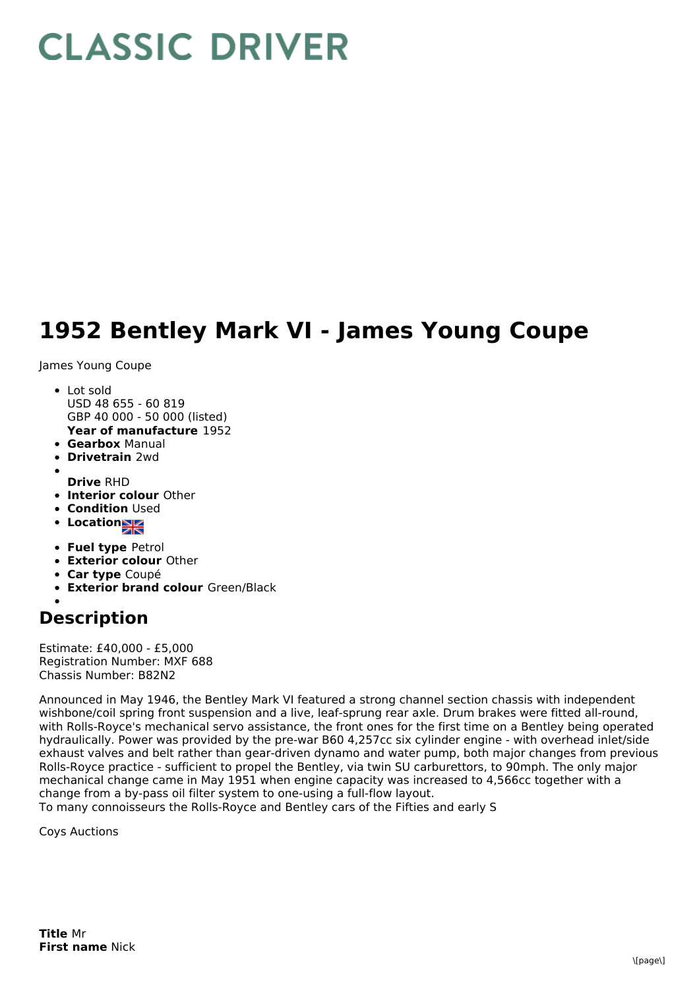## **CLASSIC DRIVER**

## **1952 Bentley Mark VI - James Young Coupe**

James Young Coupe

- **Year of manufacture** 1952 • Lot sold USD 48 655 - 60 819 GBP 40 000 - 50 000 (listed)
- **Gearbox** Manual
- **Drivetrain** 2wd
- **Drive** RHD
- **Interior colour** Other
- **Condition Used**
- Location<sub>a</sub>
- **Fuel type** Petrol
- **Exterior colour** Other
- **Car type** Coupé
- **Exterior brand colour** Green/Black

## **Description**

Estimate: £40,000 - £5,000 Registration Number: MXF 688 Chassis Number: B82N2

Announced in May 1946, the Bentley Mark VI featured a strong channel section chassis with independent wishbone/coil spring front suspension and a live, leaf-sprung rear axle. Drum brakes were fitted all-round, with Rolls-Royce's mechanical servo assistance, the front ones for the first time on a Bentley being operated hydraulically. Power was provided by the pre-war B60 4,257cc six cylinder engine - with overhead inlet/side exhaust valves and belt rather than gear-driven dynamo and water pump, both major changes from previous Rolls-Royce practice - sufficient to propel the Bentley, via twin SU carburettors, to 90mph. The only major mechanical change came in May 1951 when engine capacity was increased to 4,566cc together with a change from a by-pass oil filter system to one-using a full-flow layout. To many connoisseurs the Rolls-Royce and Bentley cars of the Fifties and early S

Coys Auctions